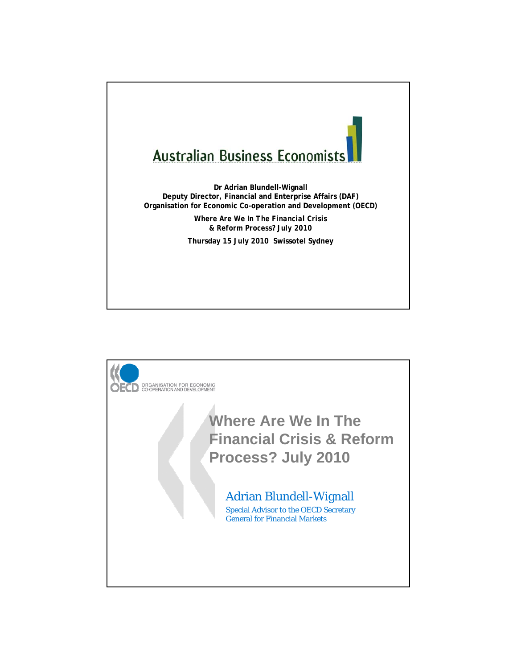

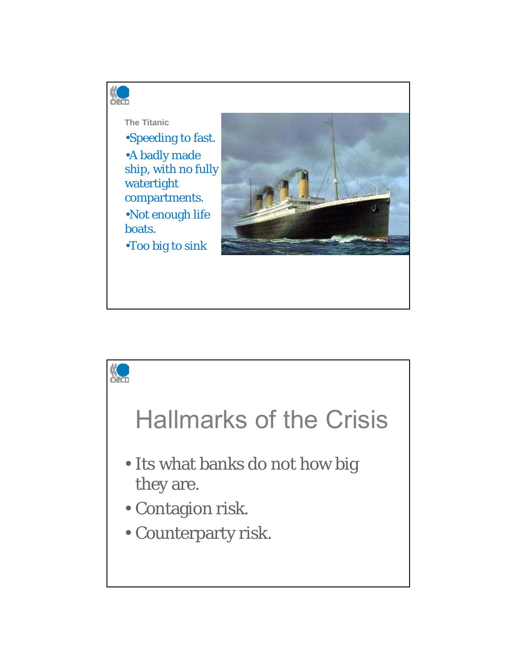

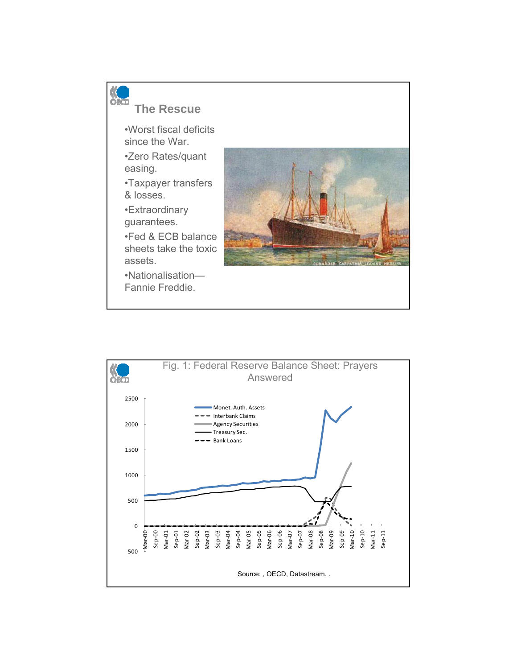

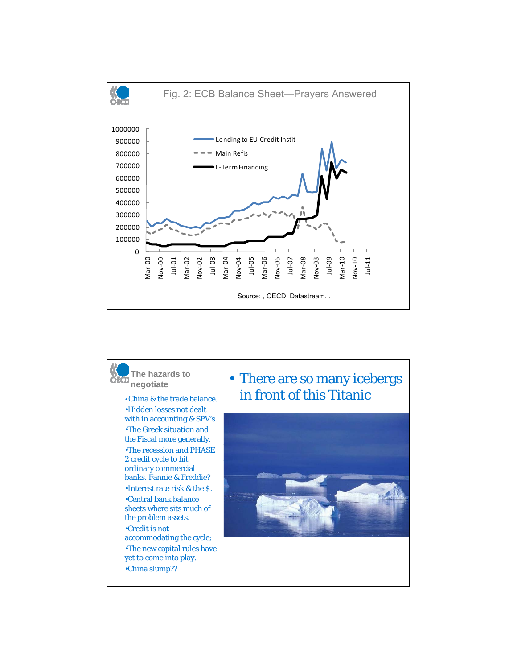

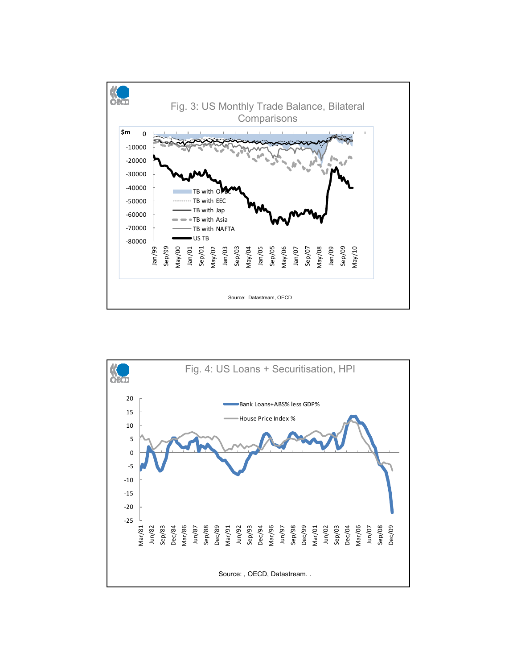

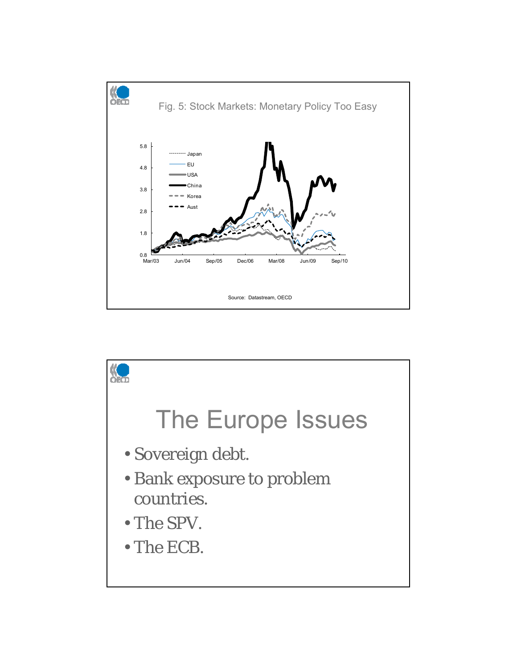

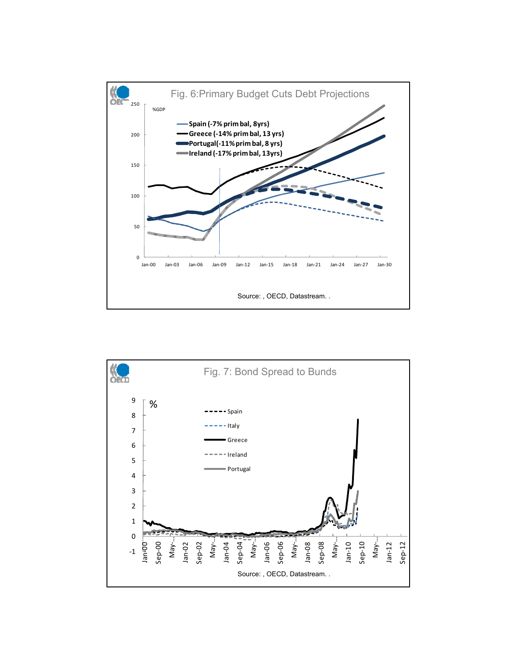

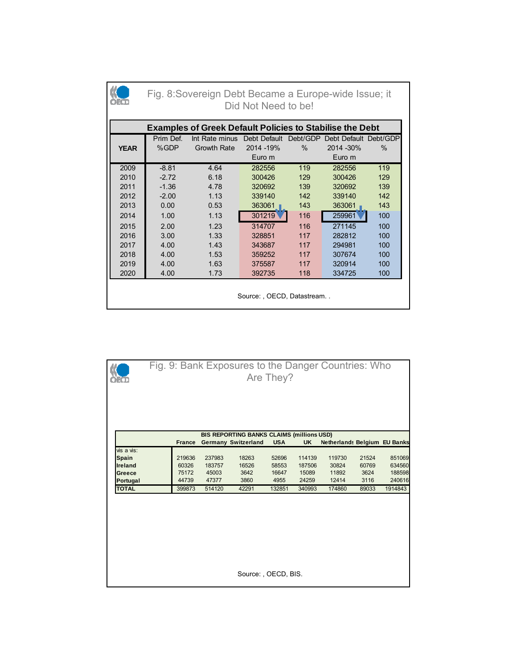|             | Fig. 8: Sovereign Debt Became a Europe-wide Issue; it<br>Did Not Need to be! |                             |            |      |                                |      |  |  |  |  |  |
|-------------|------------------------------------------------------------------------------|-----------------------------|------------|------|--------------------------------|------|--|--|--|--|--|
|             | <b>Examples of Greek Default Policies to Stabilise the Debt</b>              |                             |            |      |                                |      |  |  |  |  |  |
|             | Prim Def.                                                                    | Int Rate minus Debt Default |            |      | Debt/GDP Debt Default Debt/GDP |      |  |  |  |  |  |
| <b>YEAR</b> | %GDP                                                                         | Growth Rate                 | 2014 - 19% | $\%$ | 2014 - 30%                     | $\%$ |  |  |  |  |  |
|             |                                                                              |                             | Euro m     |      | Euro m                         |      |  |  |  |  |  |
| 2009        | $-8.81$                                                                      | 4.64                        | 282556     | 119  | 282556                         | 119  |  |  |  |  |  |
| 2010        | $-2.72$                                                                      | 6.18                        | 300426     | 129  | 300426                         | 129  |  |  |  |  |  |
| 2011        | $-1.36$                                                                      | 4.78                        | 320692     | 139  | 320692                         | 139  |  |  |  |  |  |
| 2012        | $-2.00$                                                                      | 1.13                        | 339140     | 142  | 339140                         | 142  |  |  |  |  |  |
| 2013        | 0.00                                                                         | 0.53                        | 363061     | 143  | 363061                         | 143  |  |  |  |  |  |
| 2014        | 1.00                                                                         | 1.13                        | 301219     | 116  | 259961                         | 100  |  |  |  |  |  |
| 2015        | 2.00                                                                         | 1.23                        | 314707     | 116  | 271145                         | 100  |  |  |  |  |  |
| 2016        | 3.00                                                                         | 1.33                        | 328851     | 117  | 282812                         | 100  |  |  |  |  |  |
| 2017        | 4.00                                                                         | 1.43                        | 343687     | 117  | 294981                         | 100  |  |  |  |  |  |
| 2018        | 4.00                                                                         | 1.53                        | 359252     | 117  | 307674                         | 100  |  |  |  |  |  |
| 2019        | 4.00                                                                         | 1.63                        | 375587     | 117  | 320914                         | 100  |  |  |  |  |  |
| 2020        | 4.00                                                                         | 1.73                        | 392735     | 118  | 334725                         | 100  |  |  |  |  |  |
|             | Source:, OECD, Datastream                                                    |                             |            |      |                                |      |  |  |  |  |  |

|                |               |        | Fig. 9: Bank Exposures to the Danger Countries: Who | Are They?  |           |                                     |       |         |
|----------------|---------------|--------|-----------------------------------------------------|------------|-----------|-------------------------------------|-------|---------|
|                |               |        | BIS REPORTING BANKS CLAIMS (millions USD)           |            |           |                                     |       |         |
|                | <b>France</b> |        | <b>Germany Switzerland</b>                          | <b>USA</b> | <b>UK</b> | <b>Netherlands Belgium EU Banks</b> |       |         |
| vis a vis:     |               |        |                                                     |            |           |                                     |       |         |
| <b>Spain</b>   | 219636        | 237983 | 18263                                               | 52696      | 114139    | 119730                              | 21524 | 851069  |
| <b>Ireland</b> | 60326         | 183757 | 16526                                               | 58553      | 187506    | 30824                               | 60769 | 634560  |
| Greece         | 75172         | 45003  | 3642                                                | 16647      | 15089     | 11892                               | 3624  | 188598  |
| Portugal       | 44739         | 47377  | 3860                                                | 4955       | 24259     | 12414                               | 3116  | 240616  |
| <b>TOTAL</b>   | 399873        | 514120 | 42291                                               | 132851     | 340993    | 174860                              | 89033 | 1914843 |
|                |               |        | Source: , OECD, BIS.                                |            |           |                                     |       |         |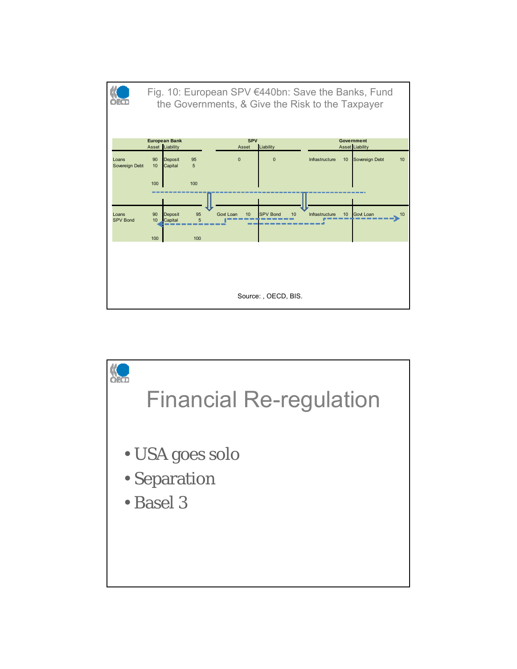

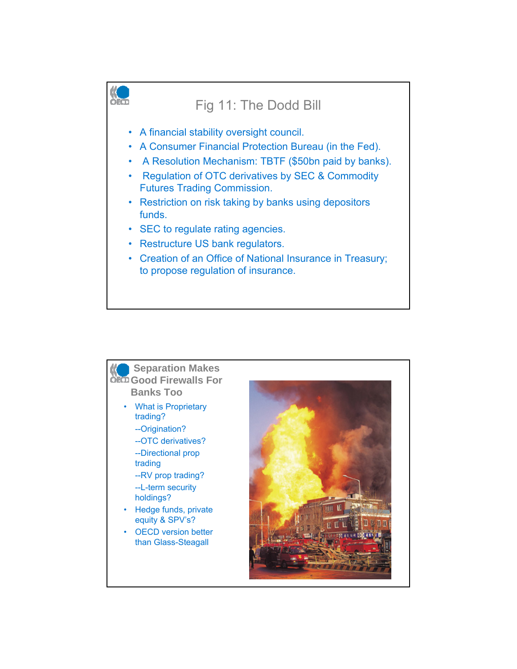

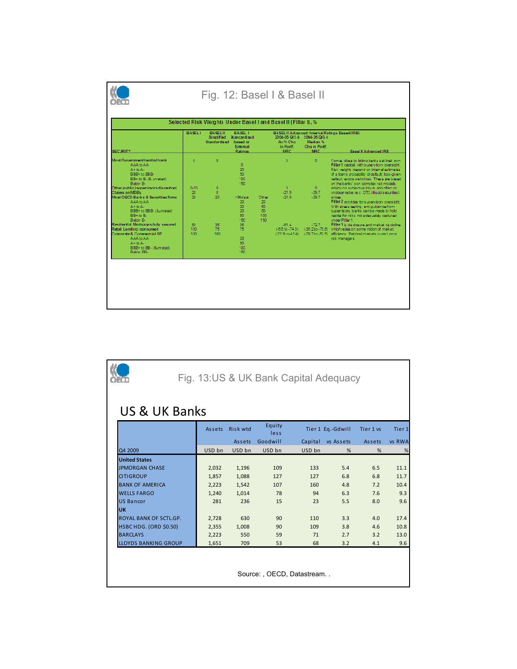| <b>SECURITY</b>                                                                                                                                                                     | <b>BASELI</b>         | <b>BASEL II</b><br><b>Simplified</b><br>Standardised based on | <b>BASEL II</b><br>Standardised<br>External<br>Ratings |                                       | Av % Cha<br>in Fortf.<br>MRC.  | 2004-05 QIS 4 2004-05 QIS 4<br>Modian <sub>96</sub><br>Cha in Portf.<br><b>MRC</b> | BASEL II Advanced: Internal Ratings Based (IRB)<br><b>Basel II Advanced IRB</b>                                                                                                                                                                                                                                      |
|-------------------------------------------------------------------------------------------------------------------------------------------------------------------------------------|-----------------------|---------------------------------------------------------------|--------------------------------------------------------|---------------------------------------|--------------------------------|------------------------------------------------------------------------------------|----------------------------------------------------------------------------------------------------------------------------------------------------------------------------------------------------------------------------------------------------------------------------------------------------------------------|
| Most Government/central bank<br>AAAto AA-<br>$\Delta + i\sigma \Delta +$<br>BBB+ to BBB-<br>BB+to B-18, unrated)<br>Below B-                                                        | $\mathbf{a}$          | n                                                             | ۰<br>20<br>50<br>100<br>150                            |                                       | o                              | $\Omega$                                                                           | Comes close to letting banks set their own.<br>Pillar 1 capital, with supervisory oversight.<br>Risk weights depend on internal estimates<br>of a loan's probability of default; loss-given-<br>default: exposure to loss. These are based<br>on the banks' own complex rsk models.                                  |
| Other public (supervisors discretion)<br><b>Claims on MDBs</b><br>Most OECD Banks & Securities firms<br>AAA to AA<br>$A + bi A.$<br>BBB+ to BBB- (&unrated)<br>BB+to B-<br>Below B- | 0.50.<br>20<br>$20 -$ | $\Omega$<br>n.<br>20                                          | <90diava<br>20<br>20<br>20<br>FO.<br>150               | Other<br>20<br>50<br>50<br>100<br>150 | $\Omega$<br>$-21.9$<br>$-21.9$ | $\Omega$<br>$-29.7$<br>$-29.7$                                                     | relying on subjective inouts, and often on-<br>unobservable (e.c. OTC illiquid securities)<br><b>or idea</b><br>Pillar 2 provides for supervisory oversight.<br>With stress testing, and guidance from<br>supervisors, banks can be made to hold<br>capital for risks institucion ustaly captured<br>under Pillar 1. |
| Residential Motgages-fully secured<br>Retail Lending (consumer)<br>Comorate & Commercial RE<br>AAAto AA-<br>$A + bi A +$<br>BBB+ to BB- (Sunrated)<br>Relow RR.                     | 80<br>100<br>100      | 28<br>75<br>100                                               | 28<br>75<br>20<br>50<br>100<br>150                     |                                       | $-81.4$                        | $-72.7$                                                                            | Pillar 3 is disclosure and market decipline.<br>(-6.5 to -74.3) (-35.2 to -78.6) which relies on some notion of market<br>(-21.9 to-41.4) (-29.7 to -52.5) efficiency. Rational markets punish poor.<br>rsk managers.                                                                                                |

|                               |  |        |                 |                | Fig. 13:US & UK Bank Capital Adequacy |                   |           |                   |  |  |
|-------------------------------|--|--------|-----------------|----------------|---------------------------------------|-------------------|-----------|-------------------|--|--|
| <b>US &amp; UK Banks</b>      |  |        |                 |                |                                       |                   |           |                   |  |  |
|                               |  | Assets | <b>Risk wtd</b> | Equity<br>less |                                       | Tier 1 Eq.-Gdwill | Tier 1 vs | Tier <sub>1</sub> |  |  |
|                               |  |        | Assets          | Goodwill       | Capital                               | vs Assets         | Assets    | vs RWA            |  |  |
| Q4 2009                       |  | USD bn | USD bn          | USD bn         | USD bn                                | %                 | %         | %                 |  |  |
| <b>United States</b>          |  |        |                 |                |                                       |                   |           |                   |  |  |
| <b>JPMORGAN CHASE</b>         |  | 2,032  | 1,196           | 109            | 133                                   | 5.4               | 6.5       | 11.1              |  |  |
| <b>CITIGROUP</b>              |  | 1,857  | 1,088           | 127            | 127                                   | 6.8               | 6.8       | 11.7              |  |  |
| <b>BANK OF AMERICA</b>        |  | 2,223  | 1,542           | 107            | 160                                   | 4.8               | 7.2       | 10.4              |  |  |
| <b>WELLS FARGO</b>            |  | 1,240  | 1,014           | 78             | 94                                    | 6.3               | 7.6       | 9.3               |  |  |
| <b>US Bancor</b>              |  | 281    | 236             | 15             | 23                                    | 5.5               | 8.0       | 9.6               |  |  |
| <b>UK</b>                     |  |        |                 |                |                                       |                   |           |                   |  |  |
| ROYAL BANK OF SCTL.GP.        |  | 2,728  | 630             | 90             | 110                                   | 3.3               | 4.0       | 17.4              |  |  |
| <b>HSBC HDG. (ORD \$0.50)</b> |  | 2,355  | 1,008           | 90             | 109                                   | 3.8               | 4.6       | 10.8              |  |  |
| <b>BARCLAYS</b>               |  | 2,223  | 550             | 59             | 71                                    | 2.7               | 3.2       | 13.0              |  |  |
| <b>LLOYDS BANKING GROUP</b>   |  | 1,651  | 709             | 53             | 68                                    | 3.2               | 4.1       | 9.6               |  |  |
|                               |  |        |                 |                | Source: , OECD, Datastream            |                   |           |                   |  |  |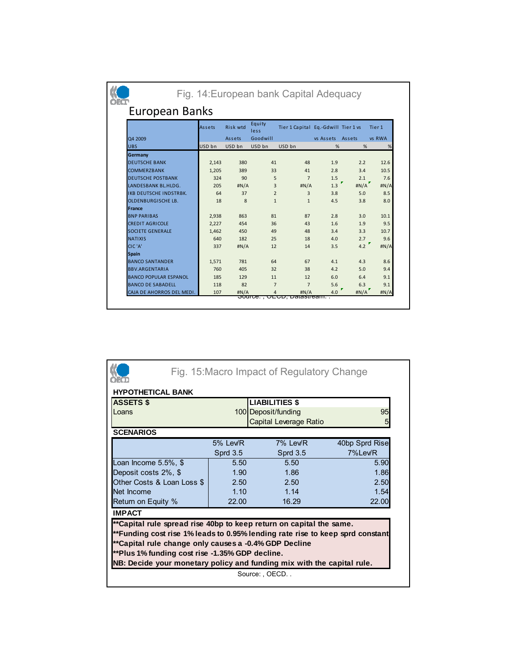|                              |               |                 |                | Fig. 14: European bank Capital Adequacy |           |        |                   |
|------------------------------|---------------|-----------------|----------------|-----------------------------------------|-----------|--------|-------------------|
| European Banks               |               |                 |                |                                         |           |        |                   |
|                              | <b>Assets</b> | <b>Risk wtd</b> | Equity<br>less | Tier 1 Capital Eq.-Gdwill Tier 1 vs     |           |        | Tier <sub>1</sub> |
| Q4 2009                      |               | <b>Assets</b>   | Goodwill       |                                         | vs Assets | Assets | vs RWA            |
| <b>UBS</b>                   | USD bn        | USD bn          | USD bn         | USD bn                                  | %         | %      | %                 |
| Germany                      |               |                 |                |                                         |           |        |                   |
| <b>DEUTSCHE BANK</b>         | 2,143         | 380             | 41             | 48                                      | 1.9       | 2.2    | 12.6              |
| <b>COMMERZBANK</b>           | 1,205         | 389             | 33             | 41                                      | 2.8       | 3.4    | 10.5              |
| <b>DEUTSCHE POSTBANK</b>     | 324           | 90              | 5              | $\overline{7}$                          | 1.5       | 2.1    | 7.6               |
| LANDESBANK BL.HLDG.          | 205           | #N/A            | 3              | #N/A                                    | 1.3       | #N/A   | #N/A              |
| IKB DEUTSCHE INDSTRBK.       | 64            | 37              | $\overline{2}$ | 3                                       | 3.8       | 5.0    | 8.5               |
| <b>OLDENBURGISCHE LB.</b>    | 18            | 8               | $\mathbf{1}$   | $\mathbf{1}$                            | 4.5       | 3.8    | 8.0               |
| France                       |               |                 |                |                                         |           |        |                   |
| <b>BNP PARIBAS</b>           | 2,938         | 863             | 81             | 87                                      | 2.8       | 3.0    | 10.1              |
| <b>CREDIT AGRICOLE</b>       | 2,227         | 454             | 36             | 43                                      | 1.6       | 1.9    | 9.5               |
| <b>SOCIETE GENERALE</b>      | 1,462         | 450             | 49             | 48                                      | 3.4       | 3.3    | 10.7              |
| <b>NATIXIS</b>               | 640           | 182             | 25             | 18                                      | 4.0       | 2.7    | 9.6               |
| CIC'A'                       | 337           | #N/A            | 12             | 14                                      | 3.5       | 4.2    | H N/A             |
| <b>Spain</b>                 |               |                 |                |                                         |           |        |                   |
| <b>BANCO SANTANDER</b>       | 1,571         | 781             | 64             | 67                                      | 4.1       | 4.3    | 8.6               |
| <b>BBV.ARGENTARIA</b>        | 760           | 405             | 32             | 38                                      | 4.2       | 5.0    | 9.4               |
| <b>BANCO POPULAR ESPANOL</b> | 185           | 129             | 11             | 12                                      | 6.0       | 6.4    | 9.1               |
| <b>BANCO DE SABADELL</b>     | 118           | 82              | $\overline{7}$ | $\overline{7}$                          | 5.6       | 6.3    | 9.1               |
| CAJA DE AHORROS DEL MEDI.    | 107           | #N/A            | 4              | H N/A<br>Suurce., OEGD, Dalastieam      | 4.0       | H N/A  | #N/A              |

|                                                                                                                                                                                                                                                                                                                                            |                     | Fig. 15: Macro Impact of Regulatory Change |                |
|--------------------------------------------------------------------------------------------------------------------------------------------------------------------------------------------------------------------------------------------------------------------------------------------------------------------------------------------|---------------------|--------------------------------------------|----------------|
| <b>HYPOTHETICAL BANK</b>                                                                                                                                                                                                                                                                                                                   |                     |                                            |                |
| <b>ASSETS \$</b>                                                                                                                                                                                                                                                                                                                           |                     | <b>LIABILITIES \$</b>                      |                |
| Loans                                                                                                                                                                                                                                                                                                                                      | 100 Deposit/funding | 95                                         |                |
|                                                                                                                                                                                                                                                                                                                                            |                     | Capital Leverage Ratio                     | 5              |
| <b>SCENARIOS</b>                                                                                                                                                                                                                                                                                                                           |                     |                                            |                |
|                                                                                                                                                                                                                                                                                                                                            | 5% Lev/R            | 7% Lev/R                                   | 40bp Sprd Rise |
|                                                                                                                                                                                                                                                                                                                                            | <b>Sprd 3.5</b>     | <b>Sprd 3.5</b>                            | 7%Lev/R        |
| Loan Income 5.5%, \$                                                                                                                                                                                                                                                                                                                       | 5.50                | 5.50                                       | 5.90           |
| Deposit costs 2%, \$                                                                                                                                                                                                                                                                                                                       | 1.90                | 1.86                                       | 1.86           |
| Other Costs & Loan Loss \$                                                                                                                                                                                                                                                                                                                 | 2.50                | 2.50                                       | 2.50           |
| Net Income                                                                                                                                                                                                                                                                                                                                 | 1.10                | 1.14                                       | 1.54           |
| Return on Equity %                                                                                                                                                                                                                                                                                                                         | 22.00               | 16.29                                      | 22.00          |
| <b>IMPACT</b>                                                                                                                                                                                                                                                                                                                              |                     |                                            |                |
| **Capital rule spread rise 40bp to keep return on capital the same.<br>**Funding cost rise 1% leads to 0.95% lending rate rise to keep sprd constant<br>**Capital rule change only causes a -0.4% GDP Decline<br>**Plus 1% funding cost rise -1.35% GDP decline.<br>NB: Decide your monetary policy and funding mix with the capital rule. |                     |                                            |                |
|                                                                                                                                                                                                                                                                                                                                            |                     | Source: OECD                               |                |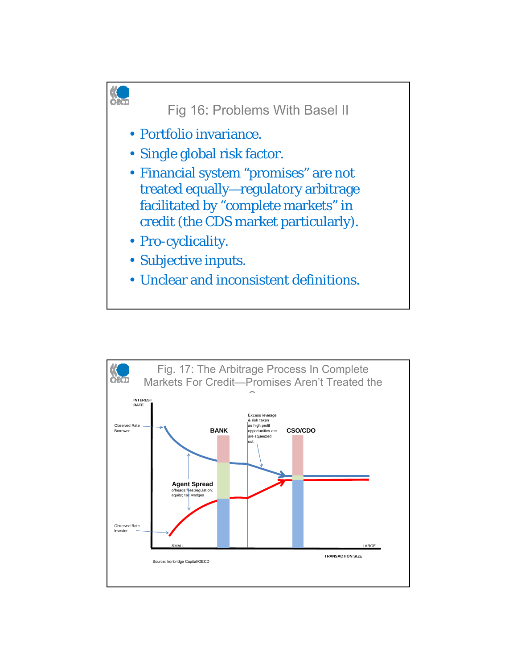

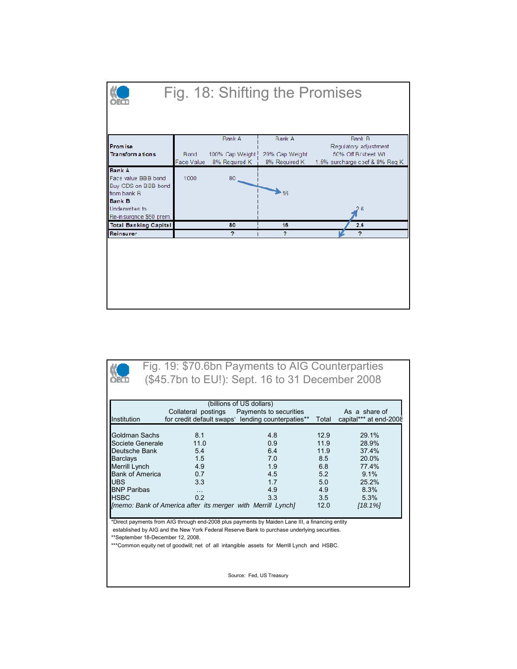

| Institution                                                                    | Collateral postings<br>for credit default swaps' lending counterpaties** | (billions of US dollars)<br>Payments to securities                                              | Total | As a share of<br>capital*** at end-2008 |  |  |  |
|--------------------------------------------------------------------------------|--------------------------------------------------------------------------|-------------------------------------------------------------------------------------------------|-------|-----------------------------------------|--|--|--|
| Goldman Sachs                                                                  | 8.1                                                                      | 4.8                                                                                             | 12.9  | 29.1%                                   |  |  |  |
| Societe Generale                                                               | 11.0                                                                     | 0.9                                                                                             | 11.9  | 28.9%                                   |  |  |  |
| Deutsche Bank                                                                  | 5.4                                                                      | 64                                                                                              | 11.9  | 37.4%                                   |  |  |  |
| <b>Barclays</b>                                                                | 1.5                                                                      | 7.0                                                                                             | 8.5   | 20.0%                                   |  |  |  |
| Merrill Lynch                                                                  | 4.9                                                                      | 1.9                                                                                             | 6.8   | 774%                                    |  |  |  |
| <b>Bank of America</b>                                                         | 0.7                                                                      | 4.5                                                                                             | 52    | 9.1%                                    |  |  |  |
| <b>UBS</b>                                                                     | 3.3                                                                      | 17                                                                                              | 5.0   | 25.2%                                   |  |  |  |
| <b>BNP Paribas</b>                                                             | $\cdots$                                                                 | 4.9                                                                                             | 4.9   | 8.3%                                    |  |  |  |
| <b>HSBC</b>                                                                    | 0 <sub>2</sub>                                                           | 3.3                                                                                             | 3.5   | 5.3%                                    |  |  |  |
| [memo: Bank of America after its merger with Merrill Lynch]<br>12.0<br>[18.1%] |                                                                          |                                                                                                 |       |                                         |  |  |  |
|                                                                                |                                                                          | *Direct payments from AIG through end-2008 plus payments by Maiden Lane III, a financing entity |       |                                         |  |  |  |

Source: Fed, US Treasury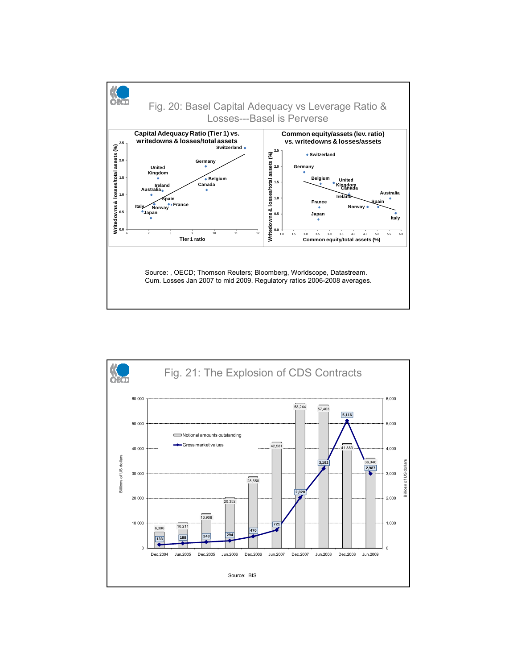

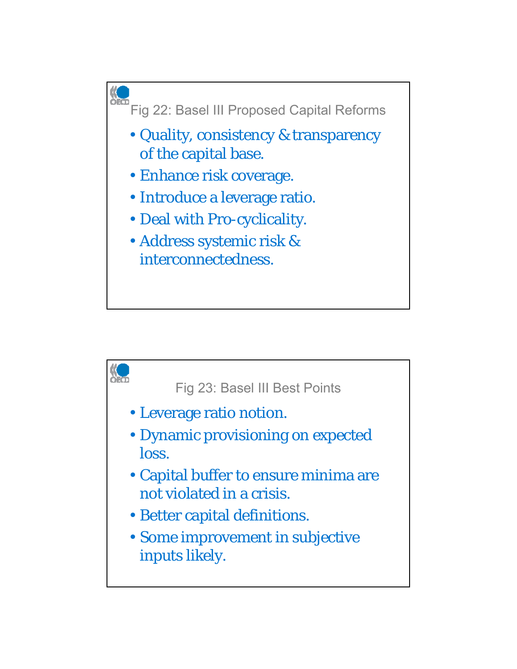

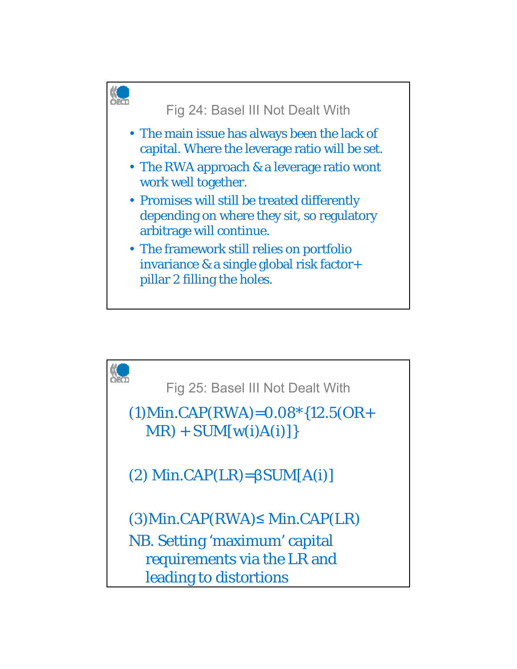

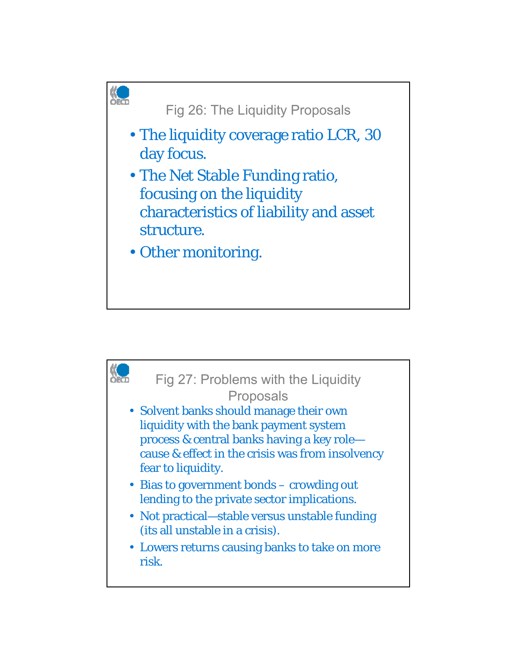

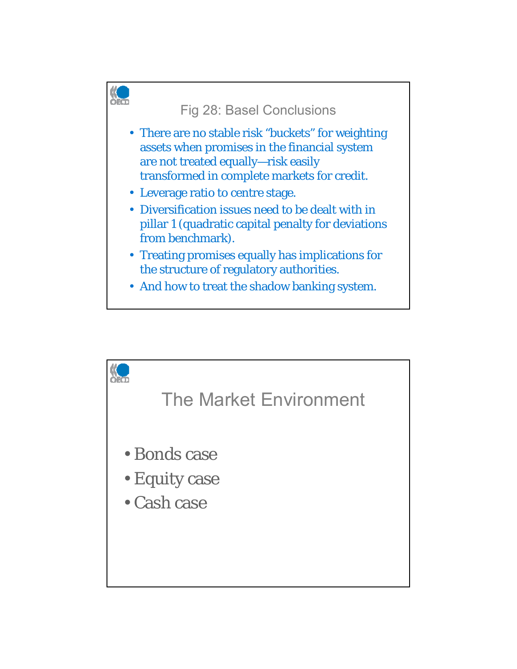

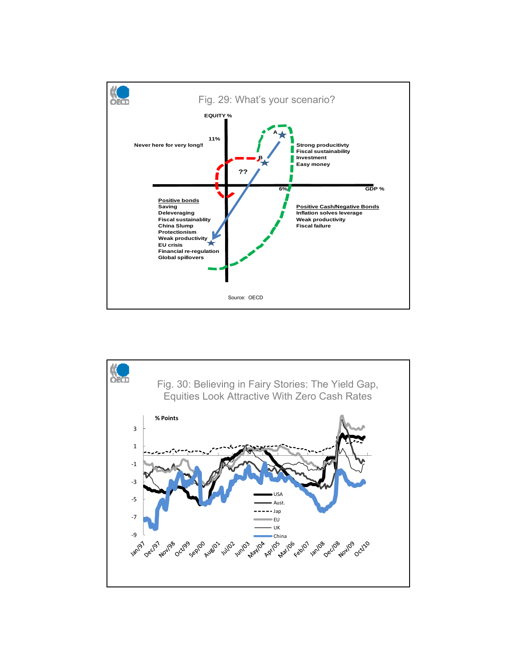

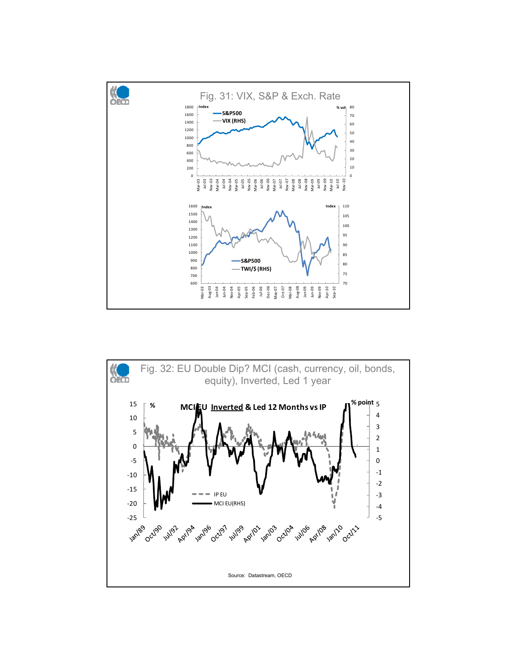